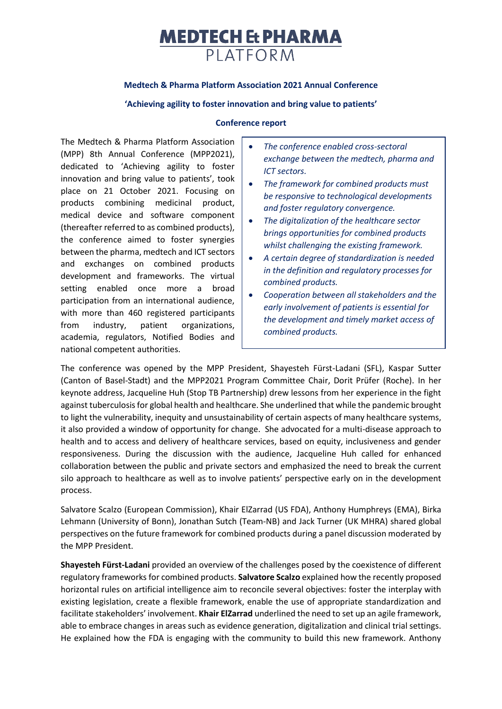# **MEDTECH Et PHARMA** PIATFORM

## **Medtech & Pharma Platform Association 2021 Annual Conference**

#### **'Achieving agility to foster innovation and bring value to patients'**

#### **Conference report**

The Medtech & Pharma Platform Association (MPP) 8th Annual Conference (MPP2021), dedicated to 'Achieving agility to foster innovation and bring value to patients', took place on 21 October 2021. Focusing on products combining medicinal product, medical device and software component (thereafter referred to as combined products), the conference aimed to foster synergies between the pharma, medtech and ICT sectors and exchanges on combined products development and frameworks. The virtual setting enabled once more a broad participation from an international audience, with more than 460 registered participants from industry, patient organizations, academia, regulators, Notified Bodies and national competent authorities.

- *The conference enabled cross-sectoral exchange between the medtech, pharma and ICT sectors.*
- *The framework for combined products must be responsive to technological developments and foster regulatory convergence.*
- *The digitalization of the healthcare sector brings opportunities for combined products whilst challenging the existing framework.*
- *A certain degree of standardization is needed in the definition and regulatory processes for combined products.*
- *Cooperation between all stakeholders and the early involvement of patients is essential for the development and timely market access of combined products.*

The conference was opened by the MPP President, Shayesteh Fürst-Ladani (SFL), Kaspar Sutter (Canton of Basel-Stadt) and the MPP2021 Program Committee Chair, Dorit Prüfer (Roche). In her keynote address, Jacqueline Huh (Stop TB Partnership) drew lessons from her experience in the fight against tuberculosis for global health and healthcare. She underlined that while the pandemic brought to light the vulnerability, inequity and unsustainability of certain aspects of many healthcare systems, it also provided a window of opportunity for change. She advocated for a multi-disease approach to health and to access and delivery of healthcare services, based on equity, inclusiveness and gender responsiveness. During the discussion with the audience, Jacqueline Huh called for enhanced collaboration between the public and private sectors and emphasized the need to break the current silo approach to healthcare as well as to involve patients' perspective early on in the development process.

Salvatore Scalzo (European Commission), Khair ElZarrad (US FDA), Anthony Humphreys (EMA), Birka Lehmann (University of Bonn), Jonathan Sutch (Team-NB) and Jack Turner (UK MHRA) shared global perspectives on the future framework for combined products during a panel discussion moderated by the MPP President.

**Shayesteh Fürst-Ladani** provided an overview of the challenges posed by the coexistence of different regulatory frameworks for combined products. **Salvatore Scalzo** explained how the recently proposed horizontal rules on artificial intelligence aim to reconcile several objectives: foster the interplay with existing legislation, create a flexible framework, enable the use of appropriate standardization and facilitate stakeholders' involvement. **Khair ElZarrad** underlined the need to set up an agile framework, able to embrace changes in areas such as evidence generation, digitalization and clinical trial settings. He explained how the FDA is engaging with the community to build this new framework. Anthony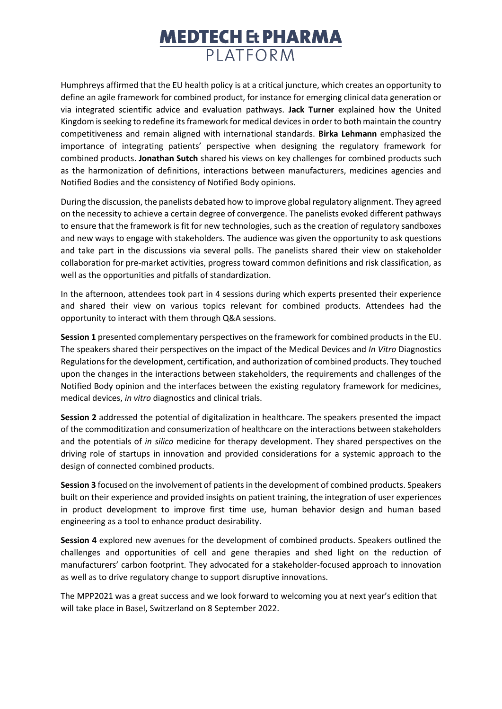# **MEDTECH & PHARMA PI ATFORM**

Humphreys affirmed that the EU health policy is at a critical juncture, which creates an opportunity to define an agile framework for combined product, for instance for emerging clinical data generation or via integrated scientific advice and evaluation pathways. **Jack Turner** explained how the United Kingdom is seeking to redefine its framework for medical devices in order to both maintain the country competitiveness and remain aligned with international standards. **Birka Lehmann** emphasized the importance of integrating patients' perspective when designing the regulatory framework for combined products. **Jonathan Sutch** shared his views on key challenges for combined products such as the harmonization of definitions, interactions between manufacturers, medicines agencies and Notified Bodies and the consistency of Notified Body opinions.

During the discussion, the panelists debated how to improve global regulatory alignment. They agreed on the necessity to achieve a certain degree of convergence. The panelists evoked different pathways to ensure that the framework is fit for new technologies, such as the creation of regulatory sandboxes and new ways to engage with stakeholders. The audience was given the opportunity to ask questions and take part in the discussions via several polls. The panelists shared their view on stakeholder collaboration for pre-market activities, progress toward common definitions and risk classification, as well as the opportunities and pitfalls of standardization.

In the afternoon, attendees took part in 4 sessions during which experts presented their experience and shared their view on various topics relevant for combined products. Attendees had the opportunity to interact with them through Q&A sessions.

**Session 1** presented complementary perspectives on the framework for combined products in the EU. The speakers shared their perspectives on the impact of the Medical Devices and *In Vitro* Diagnostics Regulations for the development, certification, and authorization of combined products. They touched upon the changes in the interactions between stakeholders, the requirements and challenges of the Notified Body opinion and the interfaces between the existing regulatory framework for medicines, medical devices, *in vitro* diagnostics and clinical trials.

**Session 2** addressed the potential of digitalization in healthcare. The speakers presented the impact of the commoditization and consumerization of healthcare on the interactions between stakeholders and the potentials of *in silico* medicine for therapy development. They shared perspectives on the driving role of startups in innovation and provided considerations for a systemic approach to the design of connected combined products.

**Session 3** focused on the involvement of patients in the development of combined products. Speakers built on their experience and provided insights on patient training, the integration of user experiences in product development to improve first time use, human behavior design and human based engineering as a tool to enhance product desirability.

**Session 4** explored new avenues for the development of combined products. Speakers outlined the challenges and opportunities of cell and gene therapies and shed light on the reduction of manufacturers' carbon footprint. They advocated for a stakeholder-focused approach to innovation as well as to drive regulatory change to support disruptive innovations.

The MPP2021 was a great success and we look forward to welcoming you at next year's edition that will take place in Basel, Switzerland on 8 September 2022.